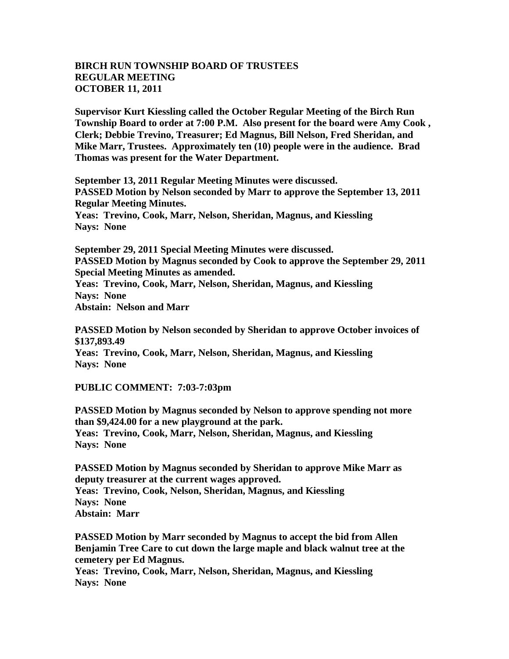## **BIRCH RUN TOWNSHIP BOARD OF TRUSTEES REGULAR MEETING OCTOBER 11, 2011**

**Supervisor Kurt Kiessling called the October Regular Meeting of the Birch Run Township Board to order at 7:00 P.M. Also present for the board were Amy Cook , Clerk; Debbie Trevino, Treasurer; Ed Magnus, Bill Nelson, Fred Sheridan, and Mike Marr, Trustees. Approximately ten (10) people were in the audience. Brad Thomas was present for the Water Department.**

**September 13, 2011 Regular Meeting Minutes were discussed. PASSED Motion by Nelson seconded by Marr to approve the September 13, 2011 Regular Meeting Minutes. Yeas: Trevino, Cook, Marr, Nelson, Sheridan, Magnus, and Kiessling Nays: None** 

**September 29, 2011 Special Meeting Minutes were discussed. PASSED Motion by Magnus seconded by Cook to approve the September 29, 2011 Special Meeting Minutes as amended. Yeas: Trevino, Cook, Marr, Nelson, Sheridan, Magnus, and Kiessling Nays: None Abstain: Nelson and Marr**

**PASSED Motion by Nelson seconded by Sheridan to approve October invoices of \$137,893.49 Yeas: Trevino, Cook, Marr, Nelson, Sheridan, Magnus, and Kiessling Nays: None** 

**PUBLIC COMMENT: 7:03-7:03pm**

**PASSED Motion by Magnus seconded by Nelson to approve spending not more than \$9,424.00 for a new playground at the park. Yeas: Trevino, Cook, Marr, Nelson, Sheridan, Magnus, and Kiessling Nays: None** 

**PASSED Motion by Magnus seconded by Sheridan to approve Mike Marr as deputy treasurer at the current wages approved. Yeas: Trevino, Cook, Nelson, Sheridan, Magnus, and Kiessling Nays: None Abstain: Marr**

**PASSED Motion by Marr seconded by Magnus to accept the bid from Allen Benjamin Tree Care to cut down the large maple and black walnut tree at the cemetery per Ed Magnus.**

**Yeas: Trevino, Cook, Marr, Nelson, Sheridan, Magnus, and Kiessling Nays: None**